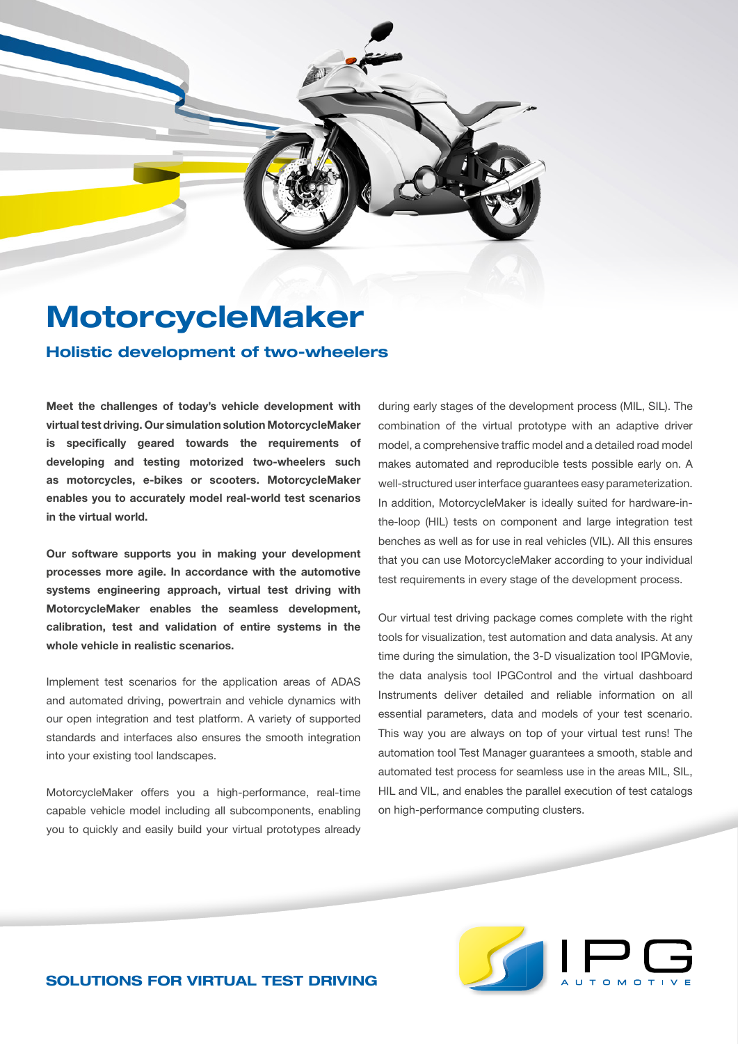## MotorcycleMaker

## Holistic development of two-wheelers

**Meet the challenges of today's vehicle development with virtual test driving. Our simulation solution MotorcycleMaker is specifically geared towards the requirements of developing and testing motorized two-wheelers such as motorcycles, e-bikes or scooters. MotorcycleMaker enables you to accurately model real-world test scenarios in the virtual world.** 

**Our software supports you in making your development processes more agile. In accordance with the automotive systems engineering approach, virtual test driving with MotorcycleMaker enables the seamless development, calibration, test and validation of entire systems in the whole vehicle in realistic scenarios.**

Implement test scenarios for the application areas of ADAS and automated driving, powertrain and vehicle dynamics with our open integration and test platform. A variety of supported standards and interfaces also ensures the smooth integration into your existing tool landscapes.

MotorcycleMaker offers you a high-performance, real-time capable vehicle model including all subcomponents, enabling you to quickly and easily build your virtual prototypes already

during early stages of the development process (MIL, SIL). The combination of the virtual prototype with an adaptive driver model, a comprehensive traffic model and a detailed road model makes automated and reproducible tests possible early on. A well-structured user interface guarantees easy parameterization. In addition, MotorcycleMaker is ideally suited for hardware-inthe-loop (HIL) tests on component and large integration test benches as well as for use in real vehicles (VIL). All this ensures that you can use MotorcycleMaker according to your individual test requirements in every stage of the development process.

Our virtual test driving package comes complete with the right tools for visualization, test automation and data analysis. At any time during the simulation, the 3-D visualization tool IPGMovie, the data analysis tool IPGControl and the virtual dashboard Instruments deliver detailed and reliable information on all essential parameters, data and models of your test scenario. This way you are always on top of your virtual test runs! The automation tool Test Manager guarantees a smooth, stable and automated test process for seamless use in the areas MIL, SIL, HIL and VIL, and enables the parallel execution of test catalogs on high-performance computing clusters.